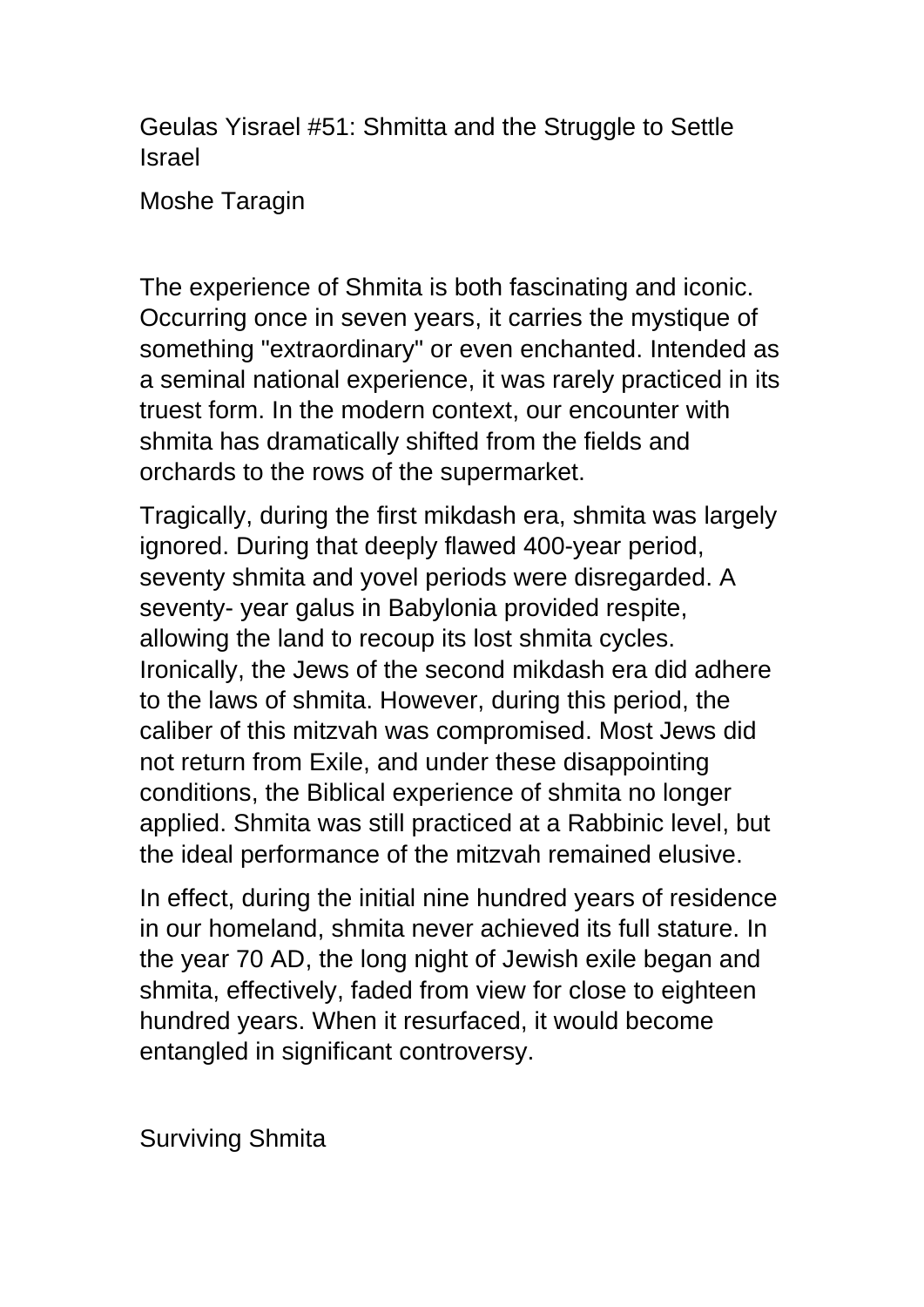Geulas Yisrael #51: Shmitta and the Struggle to Settle Israel

Moshe Taragin

The experience of Shmita is both fascinating and iconic. Occurring once in seven years, it carries the mystique of something "extraordinary" or even enchanted. Intended as a seminal national experience, it was rarely practiced in its truest form. In the modern context, our encounter with shmita has dramatically shifted from the fields and orchards to the rows of the supermarket.

Tragically, during the first mikdash era, shmita was largely ignored. During that deeply flawed 400-year period, seventy shmita and yovel periods were disregarded. A seventy- year galus in Babylonia provided respite, allowing the land to recoup its lost shmita cycles. Ironically, the Jews of the second mikdash era did adhere to the laws of shmita. However, during this period, the caliber of this mitzvah was compromised. Most Jews did not return from Exile, and under these disappointing conditions, the Biblical experience of shmita no longer applied. Shmita was still practiced at a Rabbinic level, but the ideal performance of the mitzvah remained elusive.

In effect, during the initial nine hundred years of residence in our homeland, shmita never achieved its full stature. In the year 70 AD, the long night of Jewish exile began and shmita, effectively, faded from view for close to eighteen hundred years. When it resurfaced, it would become entangled in significant controversy.

Surviving Shmita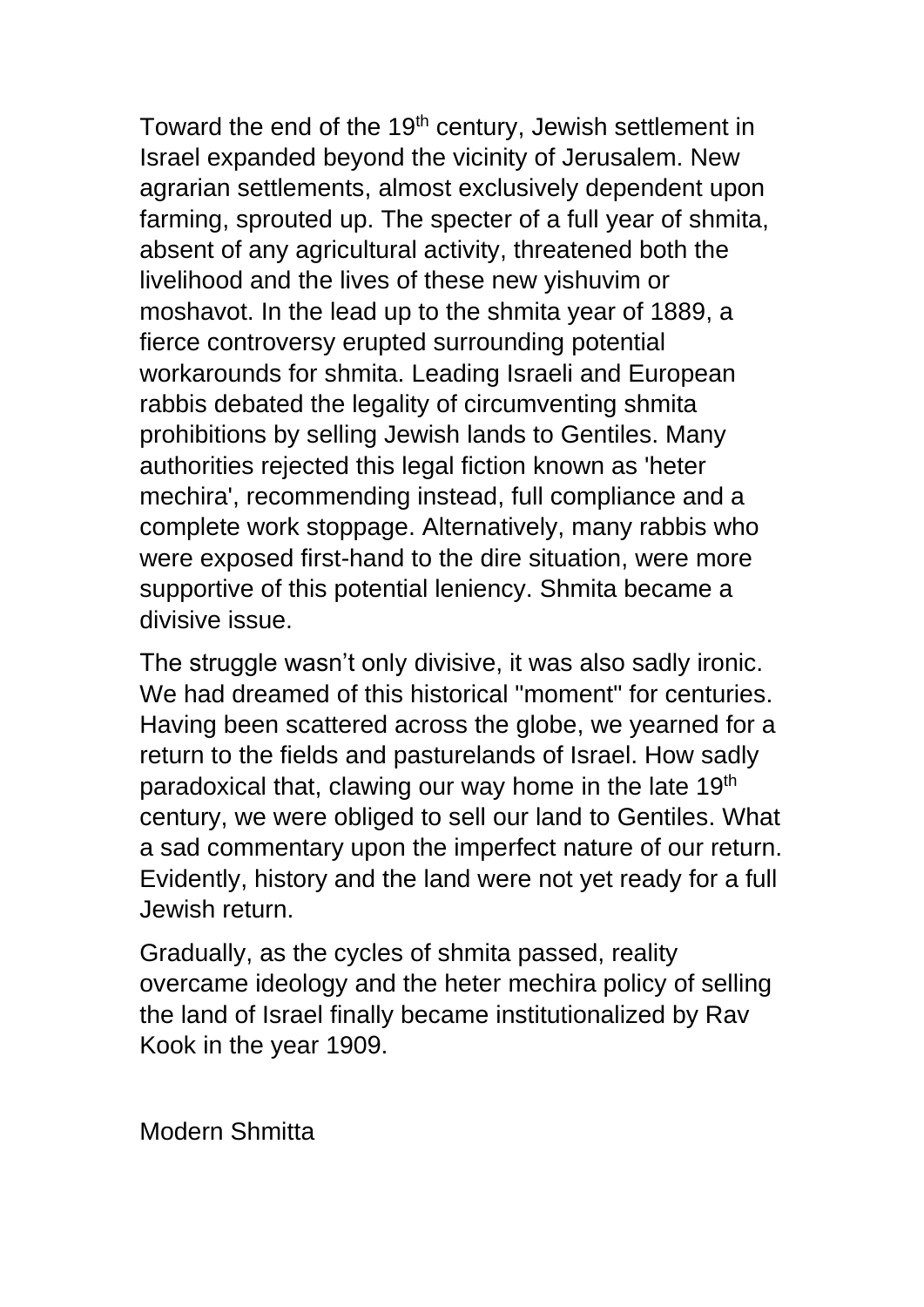Toward the end of the 19<sup>th</sup> century, Jewish settlement in Israel expanded beyond the vicinity of Jerusalem. New agrarian settlements, almost exclusively dependent upon farming, sprouted up. The specter of a full year of shmita, absent of any agricultural activity, threatened both the livelihood and the lives of these new yishuvim or moshavot. In the lead up to the shmita year of 1889, a fierce controversy erupted surrounding potential workarounds for shmita. Leading Israeli and European rabbis debated the legality of circumventing shmita prohibitions by selling Jewish lands to Gentiles. Many authorities rejected this legal fiction known as 'heter mechira', recommending instead, full compliance and a complete work stoppage. Alternatively, many rabbis who were exposed first-hand to the dire situation, were more supportive of this potential leniency. Shmita became a divisive issue.

The struggle wasn't only divisive, it was also sadly ironic. We had dreamed of this historical "moment" for centuries. Having been scattered across the globe, we yearned for a return to the fields and pasturelands of Israel. How sadly paradoxical that, clawing our way home in the late 19<sup>th</sup> century, we were obliged to sell our land to Gentiles. What a sad commentary upon the imperfect nature of our return. Evidently, history and the land were not yet ready for a full Jewish return.

Gradually, as the cycles of shmita passed, reality overcame ideology and the heter mechira policy of selling the land of Israel finally became institutionalized by Rav Kook in the year 1909.

Modern Shmitta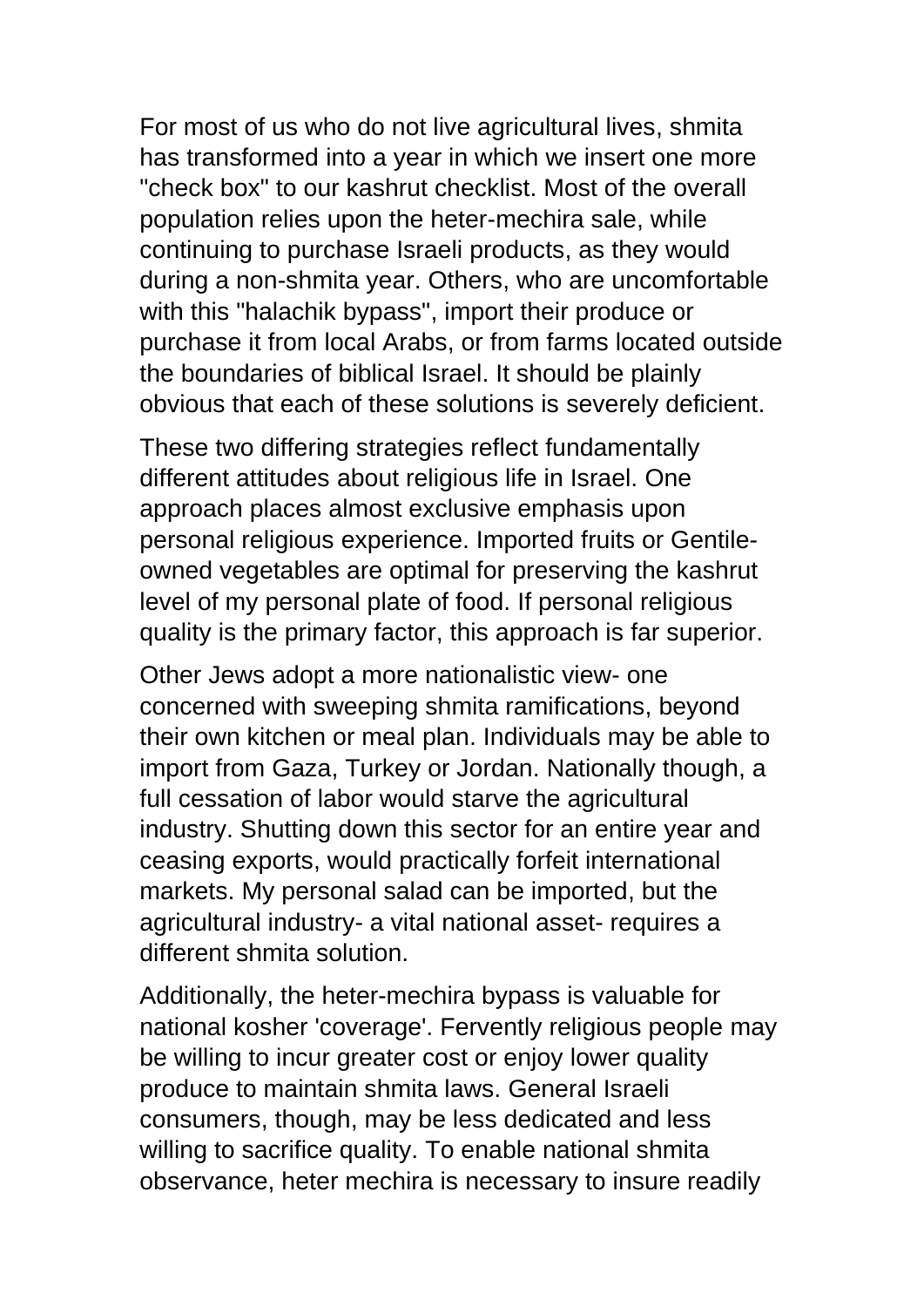For most of us who do not live agricultural lives, shmita has transformed into a year in which we insert one more "check box" to our kashrut checklist. Most of the overall population relies upon the heter-mechira sale, while continuing to purchase Israeli products, as they would during a non-shmita year. Others, who are uncomfortable with this "halachik bypass", import their produce or purchase it from local Arabs, or from farms located outside the boundaries of biblical Israel. It should be plainly obvious that each of these solutions is severely deficient.

These two differing strategies reflect fundamentally different attitudes about religious life in Israel. One approach places almost exclusive emphasis upon personal religious experience. Imported fruits or Gentileowned vegetables are optimal for preserving the kashrut level of my personal plate of food. If personal religious quality is the primary factor, this approach is far superior.

Other Jews adopt a more nationalistic view- one concerned with sweeping shmita ramifications, beyond their own kitchen or meal plan. Individuals may be able to import from Gaza, Turkey or Jordan. Nationally though, a full cessation of labor would starve the agricultural industry. Shutting down this sector for an entire year and ceasing exports, would practically forfeit international markets. My personal salad can be imported, but the agricultural industry- a vital national asset- requires a different shmita solution.

Additionally, the heter-mechira bypass is valuable for national kosher 'coverage'. Fervently religious people may be willing to incur greater cost or enjoy lower quality produce to maintain shmita laws. General Israeli consumers, though, may be less dedicated and less willing to sacrifice quality. To enable national shmita observance, heter mechira is necessary to insure readily